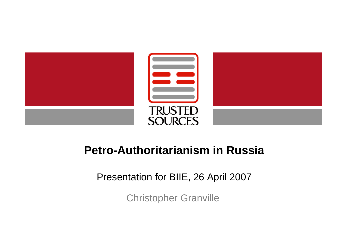

# **Petro-Authoritarianism in Russia**

Presentation for BIIE, 26 April 2007

Christopher Granville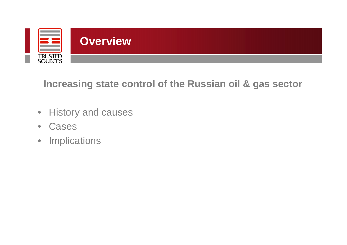

**Increasing state control of the Russian oil & gas sector**

- History and causes
- Cases
- Implications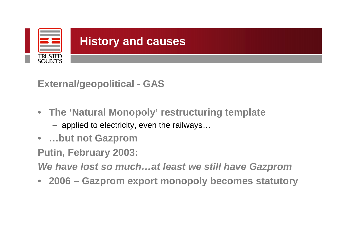

**External/geopolitical - GAS**

- **The 'Natural Monopoly' restructuring template**
	- applied to electricity, even the railways…
- **…but not Gazprom**

**Putin, February 2003:**

*We have lost so much…at least we still have Gazprom*

• **2006 – Gazprom export monopoly becomes statutory**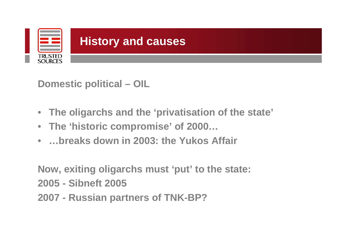

**Domestic political – OIL**

- **The oligarchs and the 'privatisation of the state'**
- **The 'historic compromise' of 2000…**
- **…breaks down in 2003: the Yukos Affair**

**Now, exiting oligarchs must 'put' to the state: 2005 - Sibneft 2005 2007 - Russian partners of TNK-BP?**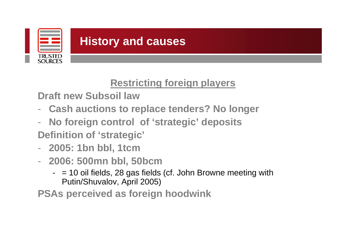

## **Restricting foreign players**

**Draft new Subsoil law**

- **Cash auctions to replace tenders? No longer**
- **No foreign control of 'strategic' deposits Definition of 'strategic'**
- **2005: 1bn bbl, 1tcm**
- **2006: 500mn bbl, 50bcm**
	- $-$  = 10 oil fields, 28 gas fields (cf. John Browne meeting with Putin/Shuvalov, April 2005)

**PSAs perceived as foreign hoodwink**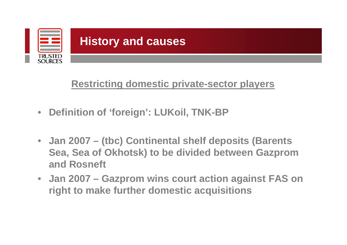

## **Restricting domestic private-sector players**

- **Definition of 'foreign': LUKoil, TNK-BP**
- **Jan 2007 – (tbc) Continental shelf deposits (Barents Sea, Sea of Okhotsk) to be divided between Gazprom and Rosneft**
- **Jan 2007 – Gazprom wins court action against FAS on right to make further domestic acquisitions**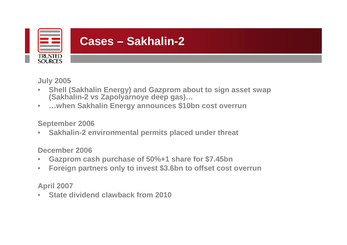

**July 2005**

- **Shell (Sakhalin Energy) and Gazprom about to sign asset swap (Sakhalin-2 vs Zapolyarnoye deep gas)…**
- **…when Sakhalin Energy announces \$10bn cost overrun**

#### **September 2006**

• **Sakhalin-2 environmental permits placed under threat**

#### **December 2006**

- **Gazprom cash purchase of 50%+1 share for \$7.45bn**
- **Foreign partners only to invest \$3.6bn to offset cost overrun**

### **April 2007**

• **State dividend clawback from 2010**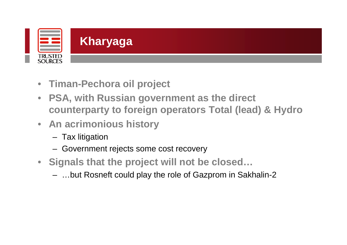

- **Timan-Pechora oil project**
- **PSA, with Russian government as the direct counterparty to foreign operators Total (lead) & Hydro**
- **An acrimonious history**
	- Tax litigation
	- Government rejects some cost recovery
- **Signals that the project will not be closed…**
	- …but Rosneft could play the role of Gazprom in Sakhalin-2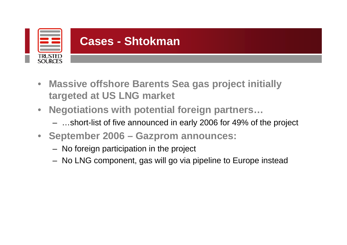

- **Massive offshore Barents Sea gas project initially targeted at US LNG market**
- **Negotiations with potential foreign partners…**
	- …short-list of five announced in early 2006 for 49% of the project
- **September 2006 – Gazprom announces:**
	- No foreign participation in the project
	- No LNG component, gas will go via pipeline to Europe instead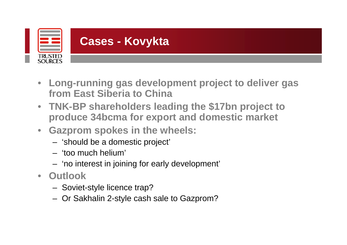

- **Long-running gas development project to deliver gas from East Siberia to China**
- **TNK-BP shareholders leading the \$17bn project to produce 34bcma for export and domestic market**
- **Gazprom spokes in the wheels:**
	- 'should be a domestic project'
	- 'too much helium'
	- 'no interest in joining for early development'
- **Outlook**
	- Soviet-style licence trap?
	- Or Sakhalin 2-style cash sale to Gazprom?